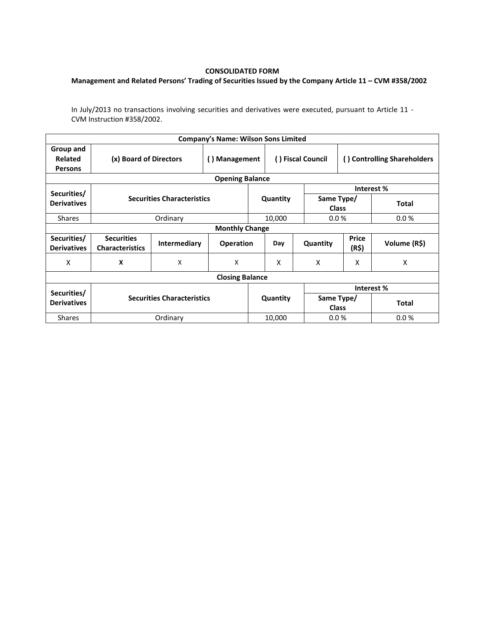## **CONSOLIDATED FORM**

## **Management and Related Persons' Trading of Securities Issued by the Company Article 11 – CVM #358/2002**

In July/2013 no transactions involving securities and derivatives were executed, pursuant to Article 11 - CVM Instruction #358/2002.

|                                        |                                             |                                   | <b>Company's Name: Wilson Sons Limited</b> |          |                   |                            |                             |              |  |  |  |
|----------------------------------------|---------------------------------------------|-----------------------------------|--------------------------------------------|----------|-------------------|----------------------------|-----------------------------|--------------|--|--|--|
| Group and<br>Related<br><b>Persons</b> | (x) Board of Directors                      |                                   | <b>Management</b><br>$\left( \right)$      |          | () Fiscal Council |                            | () Controlling Shareholders |              |  |  |  |
| <b>Opening Balance</b>                 |                                             |                                   |                                            |          |                   |                            |                             |              |  |  |  |
| Securities/                            |                                             |                                   |                                            |          |                   |                            | Interest %                  |              |  |  |  |
| <b>Derivatives</b>                     |                                             | <b>Securities Characteristics</b> |                                            | Quantity |                   | Same Type/<br><b>Class</b> |                             | <b>Total</b> |  |  |  |
| <b>Shares</b>                          |                                             | Ordinary                          |                                            |          | 10,000            | 0.0%                       |                             | 0.0 %        |  |  |  |
| <b>Monthly Change</b>                  |                                             |                                   |                                            |          |                   |                            |                             |              |  |  |  |
| Securities/<br><b>Derivatives</b>      | <b>Securities</b><br><b>Characteristics</b> | <b>Intermediary</b>               | <b>Operation</b>                           |          | Day               | Quantity                   | <b>Price</b><br>(R\$)       | Volume (R\$) |  |  |  |
| X                                      | X                                           | X                                 | X                                          |          | X                 | X                          | x                           | X            |  |  |  |
| <b>Closing Balance</b>                 |                                             |                                   |                                            |          |                   |                            |                             |              |  |  |  |
|                                        |                                             |                                   |                                            |          |                   | Interest %                 |                             |              |  |  |  |
| Securities/<br><b>Derivatives</b>      | <b>Securities Characteristics</b>           |                                   |                                            | Quantity |                   | Same Type/<br><b>Class</b> |                             | <b>Total</b> |  |  |  |
| <b>Shares</b>                          | Ordinary                                    |                                   |                                            | 10,000   |                   | 0.0 %                      |                             | 0.0%         |  |  |  |